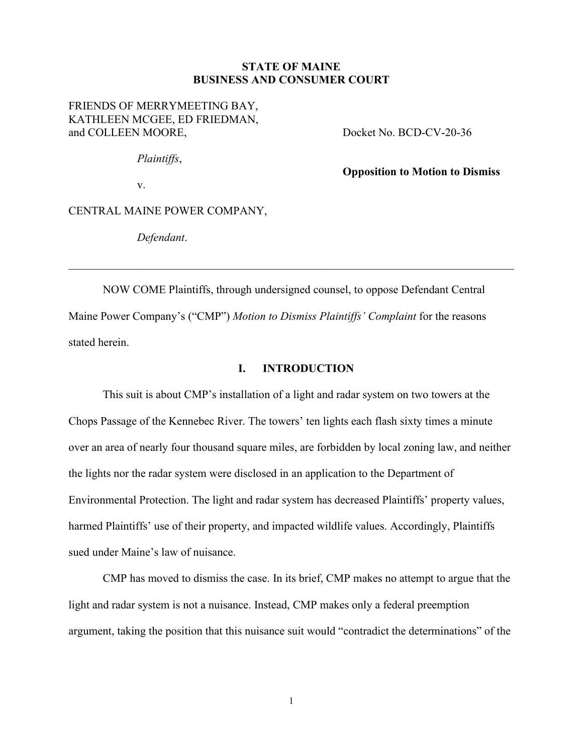#### **STATE OF MAINE BUSINESS AND CONSUMER COURT**

FRIENDS OF MERRYMEETING BAY, KATHLEEN MCGEE, ED FRIEDMAN, and COLLEEN MOORE, Docket No. BCD-CV-20-36

*Plaintiffs*,

**Opposition to Motion to Dismiss**

v.

CENTRAL MAINE POWER COMPANY,

*Defendant*.

NOW COME Plaintiffs, through undersigned counsel, to oppose Defendant Central Maine Power Company's ("CMP") *Motion to Dismiss Plaintiffs' Complaint* for the reasons stated herein.

\_\_\_\_\_\_\_\_\_\_\_\_\_\_\_\_\_\_\_\_\_\_\_\_\_\_\_\_\_\_\_\_\_\_\_\_\_\_\_\_\_\_\_\_\_\_\_\_\_\_\_\_\_\_\_\_\_\_\_\_\_\_\_\_\_\_\_\_\_\_\_\_\_\_\_\_\_\_

### **I. INTRODUCTION**

This suit is about CMP's installation of a light and radar system on two towers at the Chops Passage of the Kennebec River. The towers' ten lights each flash sixty times a minute over an area of nearly four thousand square miles, are forbidden by local zoning law, and neither the lights nor the radar system were disclosed in an application to the Department of Environmental Protection. The light and radar system has decreased Plaintiffs' property values, harmed Plaintiffs' use of their property, and impacted wildlife values. Accordingly, Plaintiffs sued under Maine's law of nuisance.

CMP has moved to dismiss the case. In its brief, CMP makes no attempt to argue that the light and radar system is not a nuisance. Instead, CMP makes only a federal preemption argument, taking the position that this nuisance suit would "contradict the determinations" of the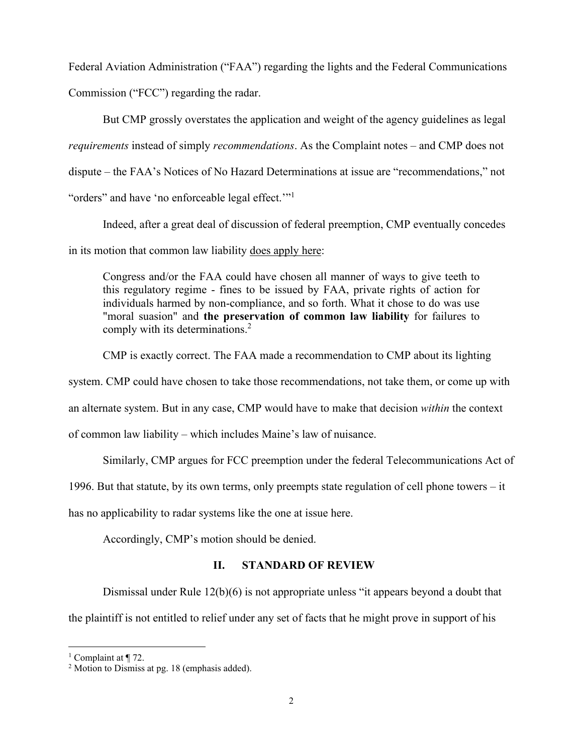Federal Aviation Administration ("FAA") regarding the lights and the Federal Communications Commission ("FCC") regarding the radar.

But CMP grossly overstates the application and weight of the agency guidelines as legal *requirements* instead of simply *recommendations*. As the Complaint notes – and CMP does not dispute – the FAA's Notices of No Hazard Determinations at issue are "recommendations," not "orders" and have 'no enforceable legal effect."<sup>1</sup>

Indeed, after a great deal of discussion of federal preemption, CMP eventually concedes in its motion that common law liability does apply here:

Congress and/or the FAA could have chosen all manner of ways to give teeth to this regulatory regime - fines to be issued by FAA, private rights of action for individuals harmed by non-compliance, and so forth. What it chose to do was use "moral suasion" and **the preservation of common law liability** for failures to comply with its determinations.<sup>2</sup>

CMP is exactly correct. The FAA made a recommendation to CMP about its lighting

system. CMP could have chosen to take those recommendations, not take them, or come up with

an alternate system. But in any case, CMP would have to make that decision *within* the context

of common law liability – which includes Maine's law of nuisance.

Similarly, CMP argues for FCC preemption under the federal Telecommunications Act of

1996. But that statute, by its own terms, only preempts state regulation of cell phone towers – it

has no applicability to radar systems like the one at issue here.

Accordingly, CMP's motion should be denied.

#### **II. STANDARD OF REVIEW**

Dismissal under Rule 12(b)(6) is not appropriate unless "it appears beyond a doubt that the plaintiff is not entitled to relief under any set of facts that he might prove in support of his

<sup>&</sup>lt;sup>1</sup> Complaint at  $\P$  72.

<sup>2</sup> Motion to Dismiss at pg. 18 (emphasis added).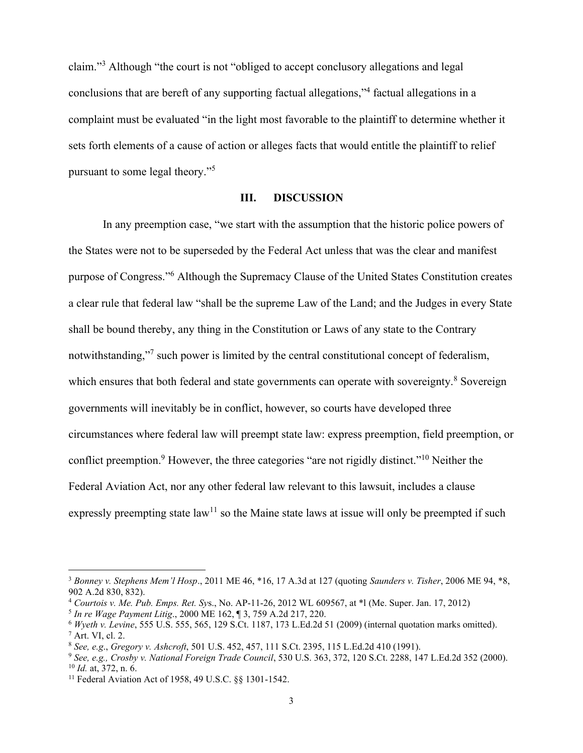claim."<sup>3</sup> Although "the court is not "obliged to accept conclusory allegations and legal conclusions that are bereft of any supporting factual allegations,"<sup>4</sup> factual allegations in a complaint must be evaluated "in the light most favorable to the plaintiff to determine whether it sets forth elements of a cause of action or alleges facts that would entitle the plaintiff to relief pursuant to some legal theory." 5

#### **III. DISCUSSION**

In any preemption case, "we start with the assumption that the historic police powers of the States were not to be superseded by the Federal Act unless that was the clear and manifest purpose of Congress."<sup>6</sup> Although the Supremacy Clause of the United States Constitution creates a clear rule that federal law "shall be the supreme Law of the Land; and the Judges in every State shall be bound thereby, any thing in the Constitution or Laws of any state to the Contrary notwithstanding,"<sup>7</sup> such power is limited by the central constitutional concept of federalism, which ensures that both federal and state governments can operate with sovereignty.<sup>8</sup> Sovereign governments will inevitably be in conflict, however, so courts have developed three circumstances where federal law will preempt state law: express preemption, field preemption, or conflict preemption.<sup>9</sup> However, the three categories "are not rigidly distinct."<sup>10</sup> Neither the Federal Aviation Act, nor any other federal law relevant to this lawsuit, includes a clause expressly preempting state law<sup>11</sup> so the Maine state laws at issue will only be preempted if such

<sup>3</sup> *Bonney v. Stephens Mem'l Hosp*., 2011 ME 46, \*16, 17 A.3d at 127 (quoting *Saunders v. Tisher*, 2006 ME 94, \*8, 902 A.2d 830, 832).

<sup>4</sup> *Courtois v. Me. Pub. Emps. Ret. Sy*s., No. AP-11-26, 2012 WL 609567, at \*l (Me. Super. Jan. 17, 2012)

<sup>5</sup> *In re Wage Payment Litig*., 2000 ME 162, ¶ 3, 759 A.2d 217, 220.

<sup>6</sup> *Wyeth v. Levine*, 555 U.S. 555, 565, 129 S.Ct. 1187, 173 L.Ed.2d 51 (2009) (internal quotation marks omitted).  $^7$  Art. VI, cl. 2.

<sup>8</sup> *See, e.g*., *Gregory v. Ashcroft*, 501 U.S. 452, 457, 111 S.Ct. 2395, 115 L.Ed.2d 410 (1991).

<sup>9</sup> *See, e.g., Crosby v. National Foreign Trade Council*, 530 U.S. 363, 372, 120 S.Ct. 2288, 147 L.Ed.2d 352 (2000). <sup>10</sup> *Id.* at, 372, n. 6.

<sup>11</sup> Federal Aviation Act of 1958, 49 U.S.C. §§ 1301-1542.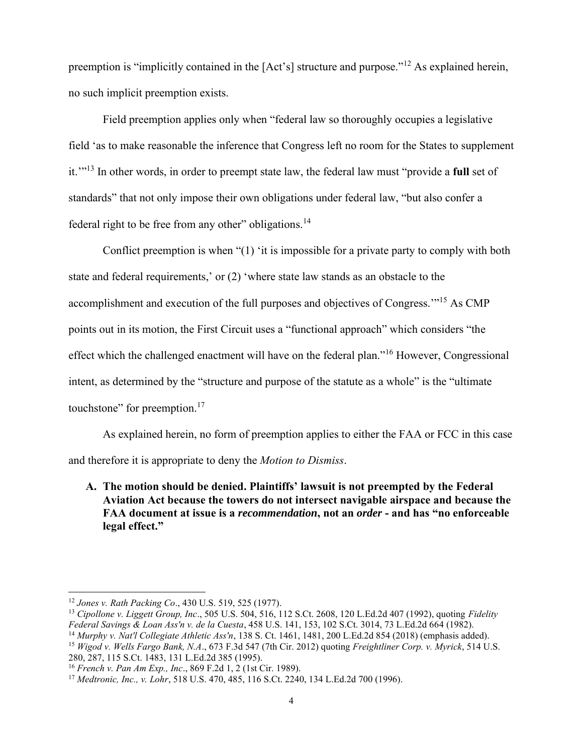preemption is "implicitly contained in the [Act's] structure and purpose."<sup>12</sup> As explained herein, no such implicit preemption exists.

Field preemption applies only when "federal law so thoroughly occupies a legislative field 'as to make reasonable the inference that Congress left no room for the States to supplement it.'"<sup>13</sup> In other words, in order to preempt state law, the federal law must "provide a **full** set of standards" that not only impose their own obligations under federal law, "but also confer a federal right to be free from any other" obligations.<sup>14</sup>

Conflict preemption is when "(1) 'it is impossible for a private party to comply with both state and federal requirements,' or (2) 'where state law stands as an obstacle to the accomplishment and execution of the full purposes and objectives of Congress.'"<sup>15</sup> As CMP points out in its motion, the First Circuit uses a "functional approach" which considers "the effect which the challenged enactment will have on the federal plan."<sup>16</sup> However, Congressional intent, as determined by the "structure and purpose of the statute as a whole" is the "ultimate touchstone" for preemption.<sup>17</sup>

As explained herein, no form of preemption applies to either the FAA or FCC in this case and therefore it is appropriate to deny the *Motion to Dismiss*.

**A. The motion should be denied. Plaintiffs' lawsuit is not preempted by the Federal Aviation Act because the towers do not intersect navigable airspace and because the FAA document at issue is a** *recommendation***, not an** *order* **- and has "no enforceable legal effect."**

<sup>12</sup> *Jones v. Rath Packing Co*., 430 U.S. 519, 525 (1977).

<sup>13</sup> *Cipollone v. Liggett Group, Inc*., 505 U.S. 504, 516, 112 S.Ct. 2608, 120 L.Ed.2d 407 (1992), quoting *Fidelity Federal Savings & Loan Ass'n v. de la Cuesta*, 458 U.S. 141, 153, 102 S.Ct. 3014, 73 L.Ed.2d 664 (1982).

<sup>14</sup> *Murphy v. Nat'l Collegiate Athletic Ass'n*, 138 S. Ct. 1461, 1481, 200 L.Ed.2d 854 (2018) (emphasis added). <sup>15</sup> *Wigod v. Wells Fargo Bank, N.A*., 673 F.3d 547 (7th Cir. 2012) quoting *Freightliner Corp. v. Myrick*, 514 U.S. 280, 287, 115 S.Ct. 1483, 131 L.Ed.2d 385 (1995).

<sup>16</sup> *French v. Pan Am Exp., Inc*., 869 F.2d 1, 2 (1st Cir. 1989).

<sup>17</sup> *Medtronic, Inc., v. Lohr*, 518 U.S. 470, 485, 116 S.Ct. 2240, 134 L.Ed.2d 700 (1996).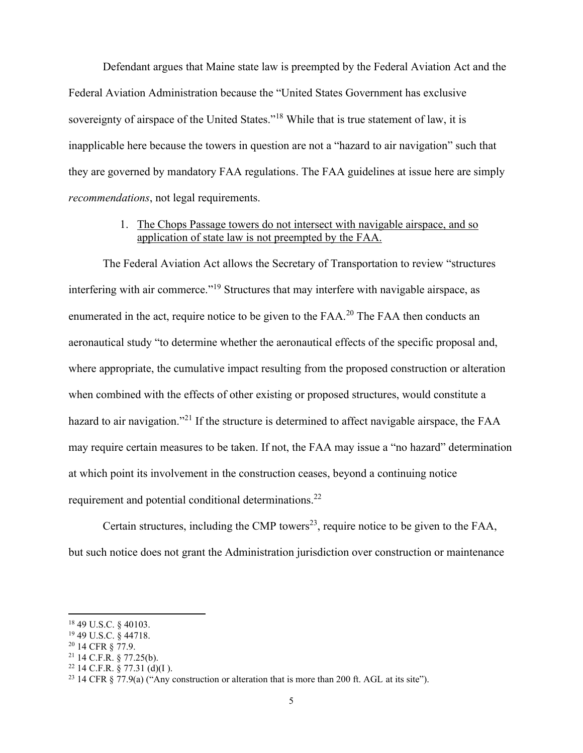Defendant argues that Maine state law is preempted by the Federal Aviation Act and the Federal Aviation Administration because the "United States Government has exclusive sovereignty of airspace of the United States."<sup>18</sup> While that is true statement of law, it is inapplicable here because the towers in question are not a "hazard to air navigation" such that they are governed by mandatory FAA regulations. The FAA guidelines at issue here are simply *recommendations*, not legal requirements.

### 1. The Chops Passage towers do not intersect with navigable airspace, and so application of state law is not preempted by the FAA.

The Federal Aviation Act allows the Secretary of Transportation to review "structures interfering with air commerce."<sup>19</sup> Structures that may interfere with navigable airspace, as enumerated in the act, require notice to be given to the FAA.<sup>20</sup> The FAA then conducts an aeronautical study "to determine whether the aeronautical effects of the specific proposal and, where appropriate, the cumulative impact resulting from the proposed construction or alteration when combined with the effects of other existing or proposed structures, would constitute a hazard to air navigation.<sup>"21</sup> If the structure is determined to affect navigable airspace, the FAA may require certain measures to be taken. If not, the FAA may issue a "no hazard" determination at which point its involvement in the construction ceases, beyond a continuing notice requirement and potential conditional determinations.<sup>22</sup>

Certain structures, including the CMP towers<sup>23</sup>, require notice to be given to the FAA, but such notice does not grant the Administration jurisdiction over construction or maintenance

<sup>18</sup> 49 U.S.C. § 40103.

<sup>19</sup> 49 U.S.C. § 44718.

<sup>20</sup> 14 CFR § 77.9.

 $21$  14 C.F.R. § 77.25(b).

 $22$  14 C.F.R. § 77.31 (d)(I).

<sup>&</sup>lt;sup>23</sup> 14 CFR § 77.9(a) ("Any construction or alteration that is more than 200 ft. AGL at its site").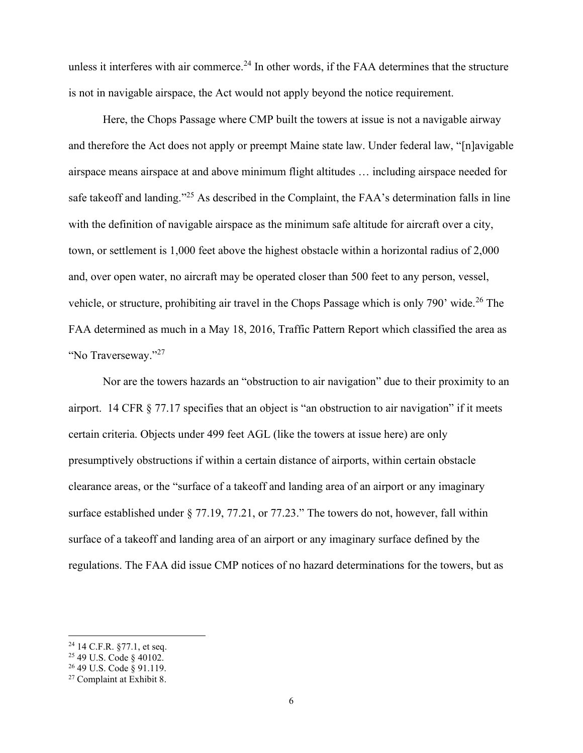unless it interferes with air commerce.<sup>24</sup> In other words, if the FAA determines that the structure is not in navigable airspace, the Act would not apply beyond the notice requirement.

Here, the Chops Passage where CMP built the towers at issue is not a navigable airway and therefore the Act does not apply or preempt Maine state law. Under federal law, "[n]avigable airspace means airspace at and above minimum flight altitudes … including airspace needed for safe takeoff and landing."<sup>25</sup> As described in the Complaint, the FAA's determination falls in line with the definition of navigable airspace as the minimum safe altitude for aircraft over a city, town, or settlement is 1,000 feet above the highest obstacle within a horizontal radius of 2,000 and, over open water, no aircraft may be operated closer than 500 feet to any person, vessel, vehicle, or structure, prohibiting air travel in the Chops Passage which is only 790' wide.<sup>26</sup> The FAA determined as much in a May 18, 2016, Traffic Pattern Report which classified the area as "No Traverseway."<sup>27</sup>

Nor are the towers hazards an "obstruction to air navigation" due to their proximity to an airport. 14 CFR § 77.17 specifies that an object is "an obstruction to air navigation" if it meets certain criteria. Objects under 499 feet AGL (like the towers at issue here) are only presumptively obstructions if within a certain distance of airports, within certain obstacle clearance areas, or the "surface of a takeoff and landing area of an airport or any imaginary surface established under § 77.19, 77.21, or 77.23." The towers do not, however, fall within surface of a takeoff and landing area of an airport or any imaginary surface defined by the regulations. The FAA did issue CMP notices of no hazard determinations for the towers, but as

 $24$  14 C.F.R. §77.1, et seq.

<sup>25</sup> 49 U.S. Code § 40102.

<sup>26</sup> 49 U.S. Code § 91.119.

<sup>27</sup> Complaint at Exhibit 8.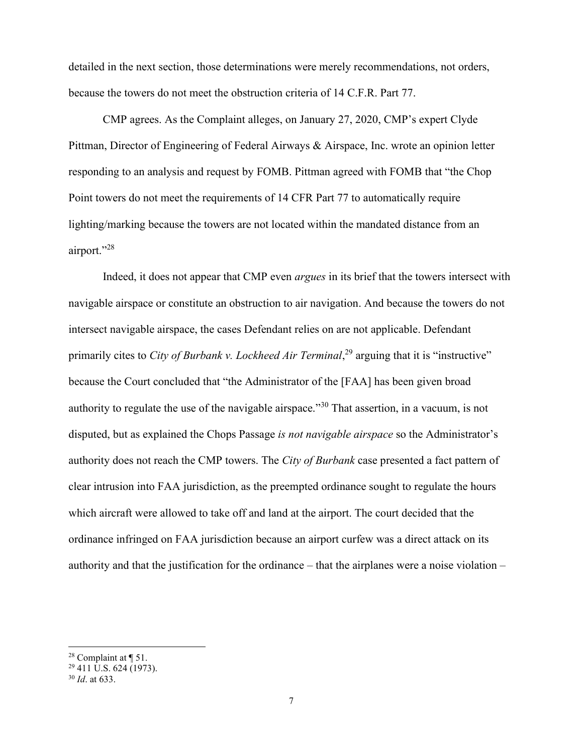detailed in the next section, those determinations were merely recommendations, not orders, because the towers do not meet the obstruction criteria of 14 C.F.R. Part 77.

CMP agrees. As the Complaint alleges, on January 27, 2020, CMP's expert Clyde Pittman, Director of Engineering of Federal Airways & Airspace, Inc. wrote an opinion letter responding to an analysis and request by FOMB. Pittman agreed with FOMB that "the Chop Point towers do not meet the requirements of 14 CFR Part 77 to automatically require lighting/marking because the towers are not located within the mandated distance from an airport."<sup>28</sup>

Indeed, it does not appear that CMP even *argues* in its brief that the towers intersect with navigable airspace or constitute an obstruction to air navigation. And because the towers do not intersect navigable airspace, the cases Defendant relies on are not applicable. Defendant primarily cites to *City of Burbank v. Lockheed Air Terminal*,<sup>29</sup> arguing that it is "instructive" because the Court concluded that "the Administrator of the [FAA] has been given broad authority to regulate the use of the navigable airspace."<sup>30</sup> That assertion, in a vacuum, is not disputed, but as explained the Chops Passage *is not navigable airspace* so the Administrator's authority does not reach the CMP towers. The *City of Burbank* case presented a fact pattern of clear intrusion into FAA jurisdiction, as the preempted ordinance sought to regulate the hours which aircraft were allowed to take off and land at the airport. The court decided that the ordinance infringed on FAA jurisdiction because an airport curfew was a direct attack on its authority and that the justification for the ordinance – that the airplanes were a noise violation –

<sup>&</sup>lt;sup>28</sup> Complaint at  $\P$  51.

<sup>&</sup>lt;sup>29</sup> 411 U.S. 624 (1973).

<sup>30</sup> *Id*. at 633.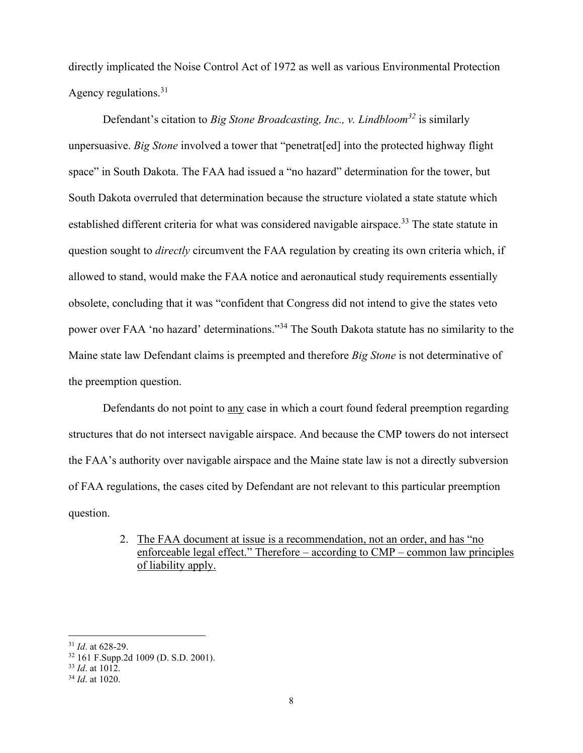directly implicated the Noise Control Act of 1972 as well as various Environmental Protection Agency regulations. $31$ 

Defendant's citation to *Big Stone Broadcasting, Inc., v. Lindbloom<sup>32</sup>* is similarly unpersuasive. *Big Stone* involved a tower that "penetrat [ed] into the protected highway flight space" in South Dakota. The FAA had issued a "no hazard" determination for the tower, but South Dakota overruled that determination because the structure violated a state statute which established different criteria for what was considered navigable airspace.<sup>33</sup> The state statute in question sought to *directly* circumvent the FAA regulation by creating its own criteria which, if allowed to stand, would make the FAA notice and aeronautical study requirements essentially obsolete, concluding that it was "confident that Congress did not intend to give the states veto power over FAA 'no hazard' determinations."<sup>34</sup> The South Dakota statute has no similarity to the Maine state law Defendant claims is preempted and therefore *Big Stone* is not determinative of the preemption question.

Defendants do not point to any case in which a court found federal preemption regarding structures that do not intersect navigable airspace. And because the CMP towers do not intersect the FAA's authority over navigable airspace and the Maine state law is not a directly subversion of FAA regulations, the cases cited by Defendant are not relevant to this particular preemption question.

> 2. The FAA document at issue is a recommendation, not an order, and has "no enforceable legal effect." Therefore – according to CMP – common law principles of liability apply.

<sup>31</sup> *Id*. at 628-29.

<sup>32</sup> 161 F.Supp.2d 1009 (D. S.D. 2001).

<sup>33</sup> *Id*. at 1012.

<sup>34</sup> *Id*. at 1020.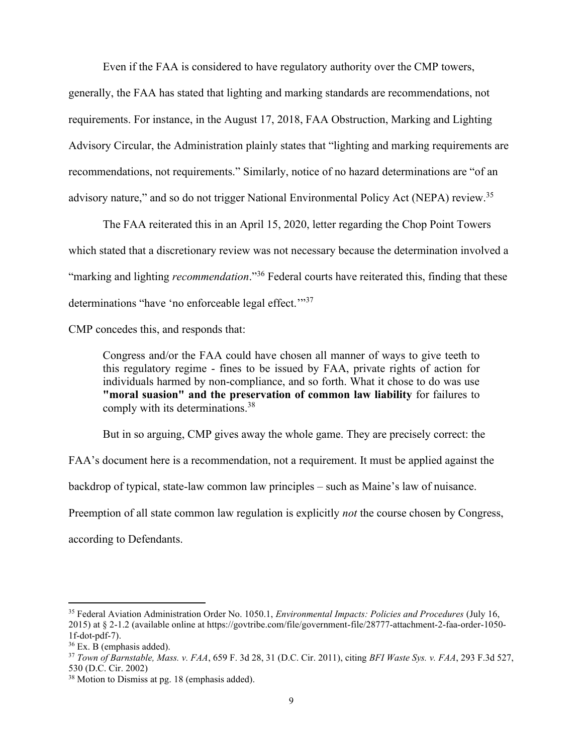Even if the FAA is considered to have regulatory authority over the CMP towers,

generally, the FAA has stated that lighting and marking standards are recommendations, not requirements. For instance, in the August 17, 2018, FAA Obstruction, Marking and Lighting Advisory Circular, the Administration plainly states that "lighting and marking requirements are recommendations, not requirements." Similarly, notice of no hazard determinations are "of an advisory nature," and so do not trigger National Environmental Policy Act (NEPA) review.<sup>35</sup>

The FAA reiterated this in an April 15, 2020, letter regarding the Chop Point Towers which stated that a discretionary review was not necessary because the determination involved a "marking and lighting *recommendation*."<sup>36</sup> Federal courts have reiterated this, finding that these determinations "have 'no enforceable legal effect."<sup>37</sup>

CMP concedes this, and responds that:

Congress and/or the FAA could have chosen all manner of ways to give teeth to this regulatory regime - fines to be issued by FAA, private rights of action for individuals harmed by non-compliance, and so forth. What it chose to do was use **"moral suasion" and the preservation of common law liability** for failures to comply with its determinations.<sup>38</sup>

But in so arguing, CMP gives away the whole game. They are precisely correct: the

FAA's document here is a recommendation, not a requirement. It must be applied against the

backdrop of typical, state-law common law principles – such as Maine's law of nuisance.

Preemption of all state common law regulation is explicitly *not* the course chosen by Congress,

according to Defendants.

<sup>35</sup> Federal Aviation Administration Order No. 1050.1, *Environmental Impacts: Policies and Procedures* (July 16, 2015) at § 2-1.2 (available online at https://govtribe.com/file/government-file/28777-attachment-2-faa-order-1050- 1f-dot-pdf-7).

 $36$  Ex. B (emphasis added).

<sup>37</sup> *Town of Barnstable, Mass. v. FAA*, 659 F. 3d 28, 31 (D.C. Cir. 2011), citing *BFI Waste Sys. v. FAA*, 293 F.3d 527, 530 (D.C. Cir. 2002)

<sup>38</sup> Motion to Dismiss at pg. 18 (emphasis added).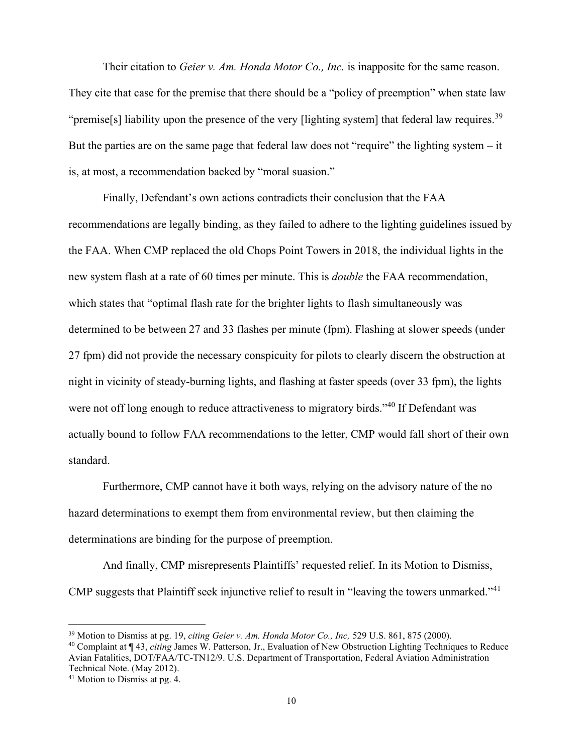Their citation to *Geier v. Am. Honda Motor Co., Inc.* is inapposite for the same reason. They cite that case for the premise that there should be a "policy of preemption" when state law "premise[s] liability upon the presence of the very [lighting system] that federal law requires.<sup>39</sup> But the parties are on the same page that federal law does not "require" the lighting system  $-$  it is, at most, a recommendation backed by "moral suasion."

Finally, Defendant's own actions contradicts their conclusion that the FAA recommendations are legally binding, as they failed to adhere to the lighting guidelines issued by the FAA. When CMP replaced the old Chops Point Towers in 2018, the individual lights in the new system flash at a rate of 60 times per minute. This is *double* the FAA recommendation, which states that "optimal flash rate for the brighter lights to flash simultaneously was determined to be between 27 and 33 flashes per minute (fpm). Flashing at slower speeds (under 27 fpm) did not provide the necessary conspicuity for pilots to clearly discern the obstruction at night in vicinity of steady-burning lights, and flashing at faster speeds (over 33 fpm), the lights were not off long enough to reduce attractiveness to migratory birds."<sup>40</sup> If Defendant was actually bound to follow FAA recommendations to the letter, CMP would fall short of their own standard.

Furthermore, CMP cannot have it both ways, relying on the advisory nature of the no hazard determinations to exempt them from environmental review, but then claiming the determinations are binding for the purpose of preemption.

And finally, CMP misrepresents Plaintiffs' requested relief. In its Motion to Dismiss, CMP suggests that Plaintiff seek injunctive relief to result in "leaving the towers unmarked."<sup>41</sup>

<sup>39</sup> Motion to Dismiss at pg. 19, *citing Geier v. Am. Honda Motor Co., Inc,* 529 U.S. 861, 875 (2000).

<sup>40</sup> Complaint at ¶ 43, *citing* James W. Patterson, Jr., Evaluation of New Obstruction Lighting Techniques to Reduce Avian Fatalities, DOT/FAA/TC-TN12/9. U.S. Department of Transportation, Federal Aviation Administration Technical Note. (May 2012).

<sup>41</sup> Motion to Dismiss at pg. 4.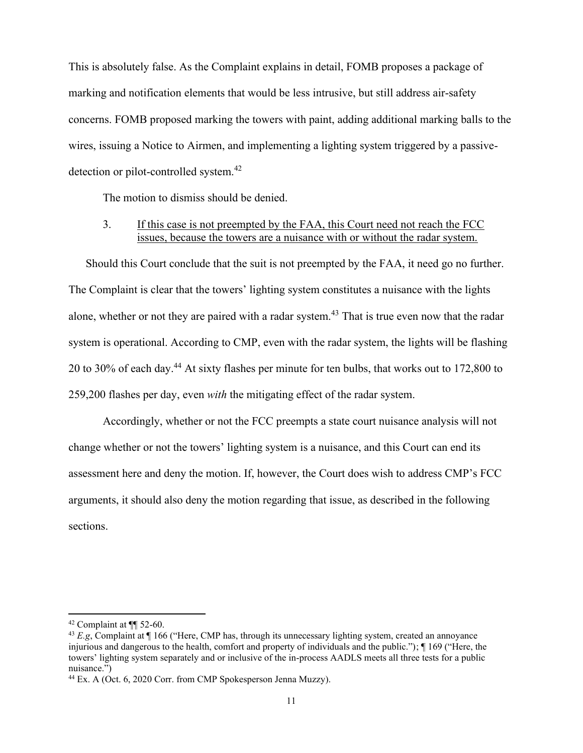This is absolutely false. As the Complaint explains in detail, FOMB proposes a package of marking and notification elements that would be less intrusive, but still address air-safety concerns. FOMB proposed marking the towers with paint, adding additional marking balls to the wires, issuing a Notice to Airmen, and implementing a lighting system triggered by a passivedetection or pilot-controlled system.<sup>42</sup>

The motion to dismiss should be denied.

### 3. If this case is not preempted by the FAA, this Court need not reach the FCC issues, because the towers are a nuisance with or without the radar system.

Should this Court conclude that the suit is not preempted by the FAA, it need go no further. The Complaint is clear that the towers' lighting system constitutes a nuisance with the lights alone, whether or not they are paired with a radar system.<sup>43</sup> That is true even now that the radar system is operational. According to CMP, even with the radar system, the lights will be flashing 20 to 30% of each day.<sup>44</sup> At sixty flashes per minute for ten bulbs, that works out to 172,800 to 259,200 flashes per day, even *with* the mitigating effect of the radar system.

Accordingly, whether or not the FCC preempts a state court nuisance analysis will not change whether or not the towers' lighting system is a nuisance, and this Court can end its assessment here and deny the motion. If, however, the Court does wish to address CMP's FCC arguments, it should also deny the motion regarding that issue, as described in the following sections.

 $42$  Complaint at  $\P\P$  52-60.

<sup>43</sup> *E.g*, Complaint at ¶ 166 ("Here, CMP has, through its unnecessary lighting system, created an annoyance injurious and dangerous to the health, comfort and property of individuals and the public."); ¶ 169 ("Here, the towers' lighting system separately and or inclusive of the in-process AADLS meets all three tests for a public nuisance.")

<sup>44</sup> Ex. A (Oct. 6, 2020 Corr. from CMP Spokesperson Jenna Muzzy).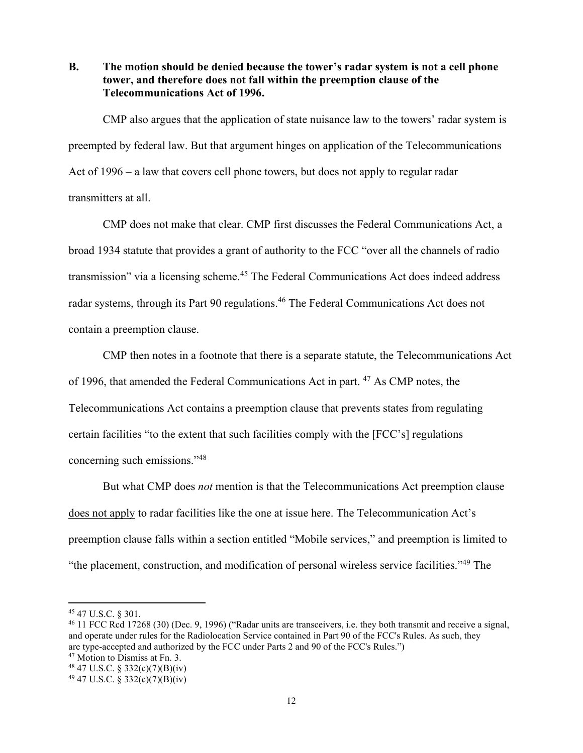**B. The motion should be denied because the tower's radar system is not a cell phone tower, and therefore does not fall within the preemption clause of the Telecommunications Act of 1996.**

CMP also argues that the application of state nuisance law to the towers' radar system is preempted by federal law. But that argument hinges on application of the Telecommunications Act of 1996 – a law that covers cell phone towers, but does not apply to regular radar transmitters at all.

CMP does not make that clear. CMP first discusses the Federal Communications Act, a broad 1934 statute that provides a grant of authority to the FCC "over all the channels of radio transmission" via a licensing scheme.<sup>45</sup> The Federal Communications Act does indeed address radar systems, through its Part 90 regulations. <sup>46</sup> The Federal Communications Act does not contain a preemption clause.

CMP then notes in a footnote that there is a separate statute, the Telecommunications Act of 1996, that amended the Federal Communications Act in part. <sup>47</sup> As CMP notes, the Telecommunications Act contains a preemption clause that prevents states from regulating certain facilities "to the extent that such facilities comply with the [FCC's] regulations concerning such emissions."<sup>48</sup>

But what CMP does *not* mention is that the Telecommunications Act preemption clause does not apply to radar facilities like the one at issue here. The Telecommunication Act's preemption clause falls within a section entitled "Mobile services," and preemption is limited to "the placement, construction, and modification of personal wireless service facilities."<sup>49</sup> The

<sup>45</sup> 47 U.S.C. § 301.

<sup>46</sup> 11 FCC Rcd 17268 (30) (Dec. 9, 1996) ("Radar units are transceivers, i.e. they both transmit and receive a signal, and operate under rules for the Radiolocation Service contained in Part 90 of the FCC's Rules. As such, they are type-accepted and authorized by the FCC under Parts 2 and 90 of the FCC's Rules.")

<sup>47</sup> Motion to Dismiss at Fn. 3.

<sup>48</sup> 47 U.S.C. § 332(c)(7)(B)(iv)

 $^{49}$  47 U.S.C. § 332(c)(7)(B)(iv)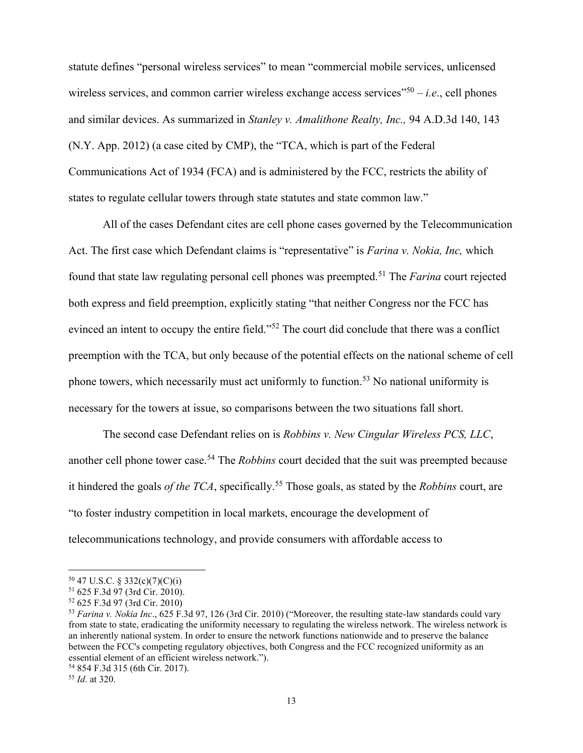statute defines "personal wireless services" to mean "commercial mobile services, unlicensed wireless services, and common carrier wireless exchange access services<sup>"50</sup> – *i.e.*, cell phones and similar devices. As summarized in *Stanley v. Amalithone Realty, Inc.,* 94 A.D.3d 140, 143 (N.Y. App. 2012) (a case cited by CMP), the "TCA, which is part of the Federal Communications Act of 1934 (FCA) and is administered by the FCC, restricts the ability of states to regulate cellular towers through state statutes and state common law."

All of the cases Defendant cites are cell phone cases governed by the Telecommunication Act. The first case which Defendant claims is "representative" is *Farina v. Nokia, Inc,* which found that state law regulating personal cell phones was preempted.<sup>51</sup> The *Farina* court rejected both express and field preemption, explicitly stating "that neither Congress nor the FCC has evinced an intent to occupy the entire field."<sup>52</sup> The court did conclude that there was a conflict preemption with the TCA, but only because of the potential effects on the national scheme of cell phone towers, which necessarily must act uniformly to function.<sup>53</sup> No national uniformity is necessary for the towers at issue, so comparisons between the two situations fall short.

The second case Defendant relies on is *Robbins v. New Cingular Wireless PCS, LLC*, another cell phone tower case.<sup>54</sup> The *Robbins* court decided that the suit was preempted because it hindered the goals *of the TCA*, specifically.<sup>55</sup> Those goals, as stated by the *Robbins* court, are "to foster industry competition in local markets, encourage the development of telecommunications technology, and provide consumers with affordable access to

<sup>50</sup> 47 U.S.C. § 332(c)(7)(C)(i)

<sup>51</sup> 625 F.3d 97 (3rd Cir. 2010).

<sup>52</sup> 625 F.3d 97 (3rd Cir. 2010)

<sup>53</sup> *Farina v. Nokia Inc*., 625 F.3d 97, 126 (3rd Cir. 2010) ("Moreover, the resulting state-law standards could vary from state to state, eradicating the uniformity necessary to regulating the wireless network. The wireless network is an inherently national system. In order to ensure the network functions nationwide and to preserve the balance between the FCC's competing regulatory objectives, both Congress and the FCC recognized uniformity as an essential element of an efficient wireless network.").

<sup>54</sup> 854 F.3d 315 (6th Cir. 2017).

<sup>55</sup> *Id*. at 320.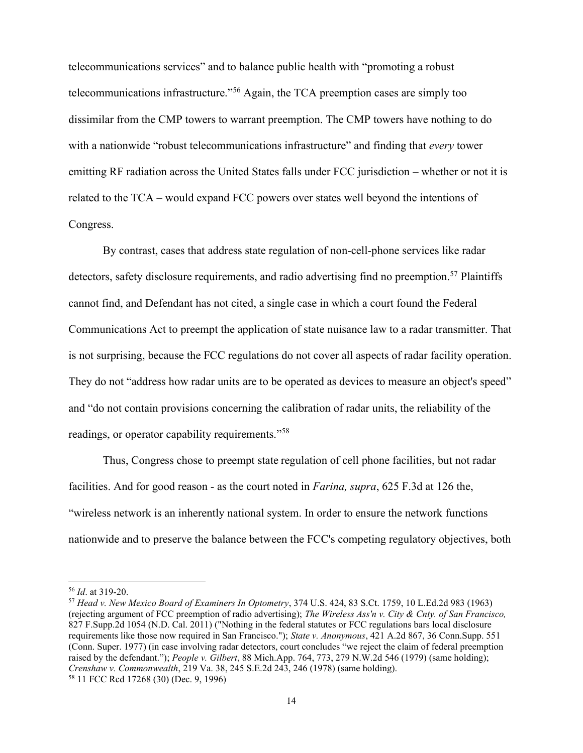telecommunications services" and to balance public health with "promoting a robust telecommunications infrastructure."<sup>56</sup> Again, the TCA preemption cases are simply too dissimilar from the CMP towers to warrant preemption. The CMP towers have nothing to do with a nationwide "robust telecommunications infrastructure" and finding that *every* tower emitting RF radiation across the United States falls under FCC jurisdiction – whether or not it is related to the TCA – would expand FCC powers over states well beyond the intentions of Congress.

By contrast, cases that address state regulation of non-cell-phone services like radar detectors, safety disclosure requirements, and radio advertising find no preemption.<sup>57</sup> Plaintiffs cannot find, and Defendant has not cited, a single case in which a court found the Federal Communications Act to preempt the application of state nuisance law to a radar transmitter. That is not surprising, because the FCC regulations do not cover all aspects of radar facility operation. They do not "address how radar units are to be operated as devices to measure an object's speed" and "do not contain provisions concerning the calibration of radar units, the reliability of the readings, or operator capability requirements."<sup>58</sup>

Thus, Congress chose to preempt state regulation of cell phone facilities, but not radar facilities. And for good reason - as the court noted in *Farina, supra*, 625 F.3d at 126 the, "wireless network is an inherently national system. In order to ensure the network functions nationwide and to preserve the balance between the FCC's competing regulatory objectives, both

<sup>56</sup> *Id*. at 319-20.

<sup>57</sup> *Head v. New Mexico Board of Examiners In Optometry*, 374 U.S. 424, 83 S.Ct. 1759, 10 L.Ed.2d 983 (1963) (rejecting argument of FCC preemption of radio advertising); *The Wireless Ass'n v. City & Cnty. of San Francisco,*  827 F.Supp.2d 1054 (N.D. Cal. 2011) ("Nothing in the federal statutes or FCC regulations bars local disclosure requirements like those now required in San Francisco."); *State v. Anonymous*, 421 A.2d 867, 36 Conn.Supp. 551 (Conn. Super. 1977) (in case involving radar detectors, court concludes "we reject the claim of federal preemption raised by the defendant."); *People v. Gilbert*, 88 Mich.App. 764, 773, 279 N.W.2d 546 (1979) (same holding); *Crenshaw v. Commonwealth*, 219 Va. 38, 245 S.E.2d 243, 246 (1978) (same holding). <sup>58</sup> 11 FCC Rcd 17268 (30) (Dec. 9, 1996)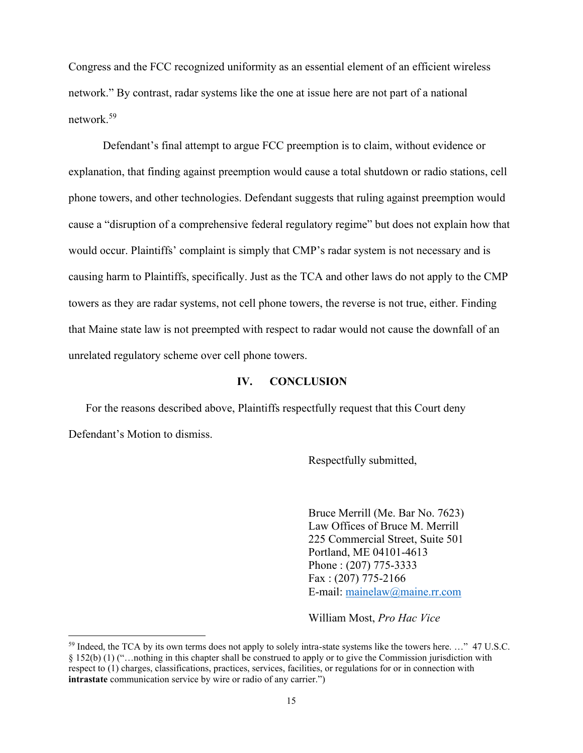Congress and the FCC recognized uniformity as an essential element of an efficient wireless network." By contrast, radar systems like the one at issue here are not part of a national network.<sup>59</sup>

Defendant's final attempt to argue FCC preemption is to claim, without evidence or explanation, that finding against preemption would cause a total shutdown or radio stations, cell phone towers, and other technologies. Defendant suggests that ruling against preemption would cause a "disruption of a comprehensive federal regulatory regime" but does not explain how that would occur. Plaintiffs' complaint is simply that CMP's radar system is not necessary and is causing harm to Plaintiffs, specifically. Just as the TCA and other laws do not apply to the CMP towers as they are radar systems, not cell phone towers, the reverse is not true, either. Finding that Maine state law is not preempted with respect to radar would not cause the downfall of an unrelated regulatory scheme over cell phone towers.

#### **IV. CONCLUSION**

For the reasons described above, Plaintiffs respectfully request that this Court deny Defendant's Motion to dismiss.

Respectfully submitted,

Bruce Merrill (Me. Bar No. 7623) Law Offices of Bruce M. Merrill 225 Commercial Street, Suite 501 Portland, ME 04101-4613 Phone : (207) 775-3333 Fax : (207) 775-2166 E-mail: [mainelaw@maine.rr.com](mailto:mainelaw@maine.rr.com)

William Most, *Pro Hac Vice*

<sup>&</sup>lt;sup>59</sup> Indeed, the TCA by its own terms does not apply to solely intra-state systems like the towers here. …" 47 U.S.C. § 152(b) (1) ("…nothing in this chapter shall be construed to apply or to give the Commission jurisdiction with respect to (1) charges, classifications, practices, services, facilities, or regulations for or in connection with **intrastate** communication service by wire or radio of any carrier.")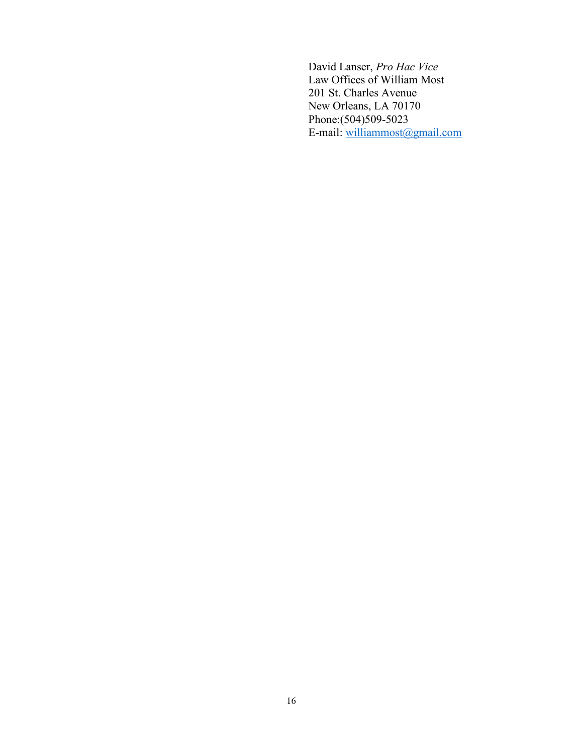David Lanser, *Pro Hac Vice*  Law Offices of William Most 201 St. Charles Avenue New Orleans, LA 70170 Phone:(504)509-5023 E-mail: [williammost@gmail.com](mailto:williammost@gmail.com)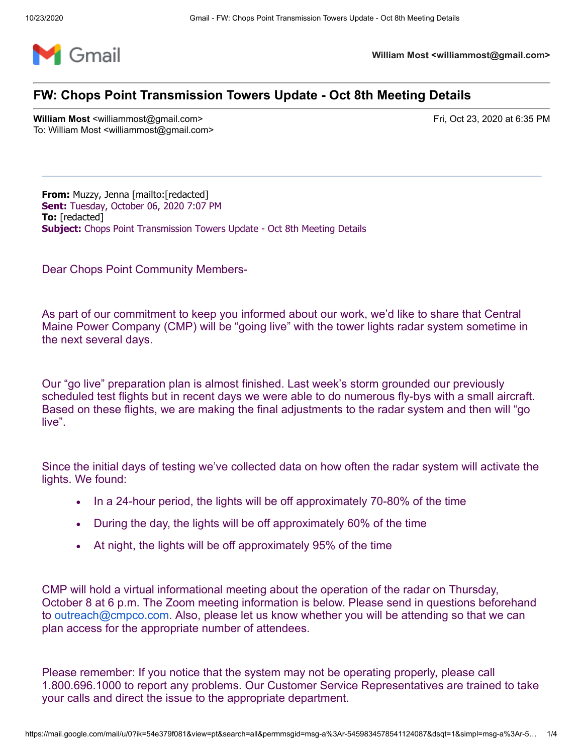

**William Most <williammost@gmail.com>**

# **FW: Chops Point Transmission Towers Update - Oct 8th Meeting Details**

**William Most <williammost@gmail.com>** Fri, Oct 23, 2020 at 6:35 PM To: William Most <williammost@gmail.com>

**From:** Muzzy, Jenna [mailto:[redacted] **Sent:** Tuesday, October 06, 2020 7:07 PM **To:** [redacted] **Subject:** Chops Point Transmission Towers Update - Oct 8th Meeting Details

Dear Chops Point Community Members-

As part of our commitment to keep you informed about our work, we'd like to share that Central Maine Power Company (CMP) will be "going live" with the tower lights radar system sometime in the next several days.

Our "go live" preparation plan is almost finished. Last week's storm grounded our previously scheduled test flights but in recent days we were able to do numerous fly-bys with a small aircraft. Based on these flights, we are making the final adjustments to the radar system and then will "go live".

Since the initial days of testing we've collected data on how often the radar system will activate the lights. We found:

- · In a 24-hour period, the lights will be off approximately 70-80% of the time
- · During the day, the lights will be off approximately 60% of the time
- At night, the lights will be off approximately 95% of the time

CMP will hold a virtual informational meeting about the operation of the radar on Thursday, October 8 at 6 p.m. The Zoom meeting information is below. Please send in questions beforehand to [outreach@cmpco.com](mailto:outreach@cmpco.com). Also, please let us know whether you will be attending so that we can plan access for the appropriate number of attendees.

Please remember: If you notice that the system may not be operating properly, please call 1.800.696.1000 to report any problems. Our Customer Service Representatives are trained to take your calls and direct the issue to the appropriate department.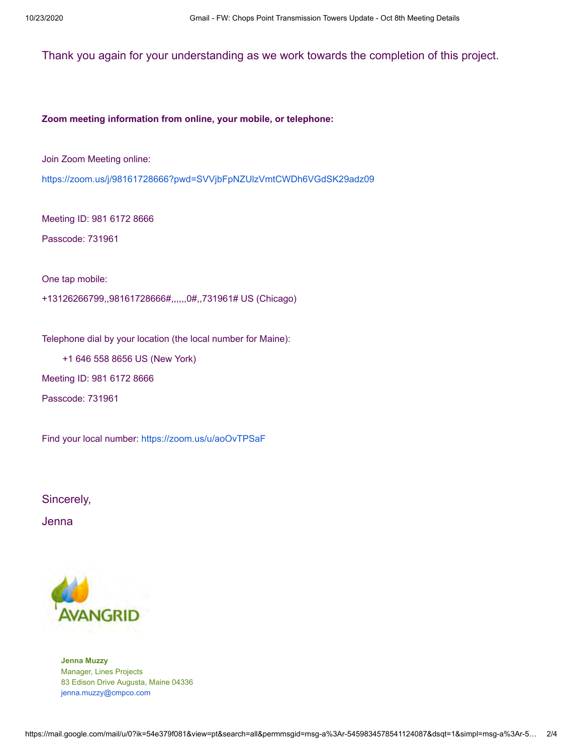### Thank you again for your understanding as we work towards the completion of this project.

#### **Zoom meeting information from online, your mobile, or telephone:**

Join Zoom Meeting online:

<https://zoom.us/j/98161728666?pwd=SVVjbFpNZUlzVmtCWDh6VGdSK29adz09>

Meeting ID: 981 6172 8666

Passcode: 731961

One tap mobile:

+13126266799,,98161728666#,,,,,,0#,,731961# US (Chicago)

Telephone dial by your location (the local number for Maine):

+1 646 558 8656 US (New York)

Meeting ID: 981 6172 8666

Passcode: 731961

Find your local number:<https://zoom.us/u/aoOvTPSaF>

Sincerely,

Jenna



**Jenna Muzzy** Manager, Lines Projects 83 Edison Drive Augusta, Maine 04336 [jenna.muzzy@cmpco.com](mailto:jenna.muzzy@cmpco.com)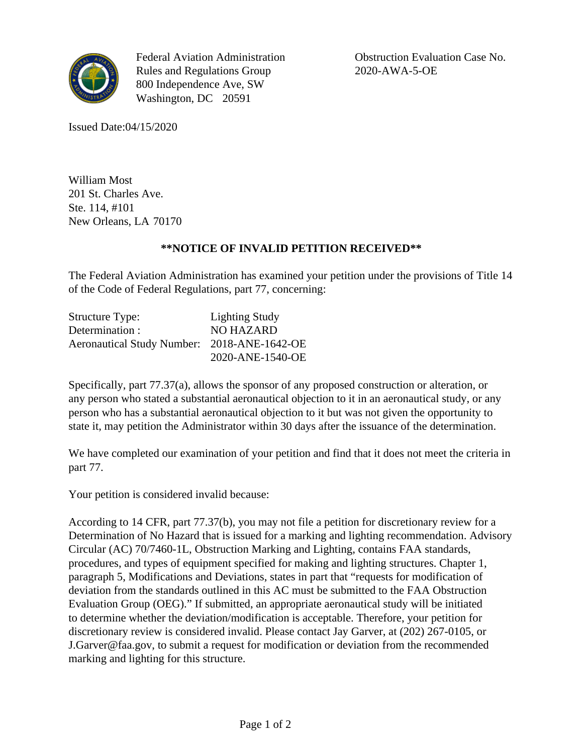

Federal Aviation Administration Rules and Regulations Group 800 Independence Ave, SW Washington, DC 20591

Obstruction Evaluation Case No. 2020-AWA-5-OE

Issued Date:04/15/2020

William Most 201 St. Charles Ave. Ste. 114, #101 New Orleans, LA 70170

## **\*\*NOTICE OF INVALID PETITION RECEIVED\*\***

The Federal Aviation Administration has examined your petition under the provisions of Title 14 of the Code of Federal Regulations, part 77, concerning:

| <b>Structure Type:</b>                      | <b>Lighting Study</b> |
|---------------------------------------------|-----------------------|
| Determination :                             | <b>NO HAZARD</b>      |
| Aeronautical Study Number: 2018-ANE-1642-OE |                       |
|                                             | 2020-ANE-1540-OE      |

Specifically, part 77.37(a), allows the sponsor of any proposed construction or alteration, or any person who stated a substantial aeronautical objection to it in an aeronautical study, or any person who has a substantial aeronautical objection to it but was not given the opportunity to state it, may petition the Administrator within 30 days after the issuance of the determination.

We have completed our examination of your petition and find that it does not meet the criteria in part 77.

Your petition is considered invalid because:

According to 14 CFR, part 77.37(b), you may not file a petition for discretionary review for a Determination of No Hazard that is issued for a marking and lighting recommendation. Advisory Circular (AC) 70/7460-1L, Obstruction Marking and Lighting, contains FAA standards, procedures, and types of equipment specified for making and lighting structures. Chapter 1, paragraph 5, Modifications and Deviations, states in part that "requests for modification of deviation from the standards outlined in this AC must be submitted to the FAA Obstruction Evaluation Group (OEG)." If submitted, an appropriate aeronautical study will be initiated to determine whether the deviation/modification is acceptable. Therefore, your petition for discretionary review is considered invalid. Please contact Jay Garver, at (202) 267-0105, or J.Garver@faa.gov, to submit a request for modification or deviation from the recommended marking and lighting for this structure.